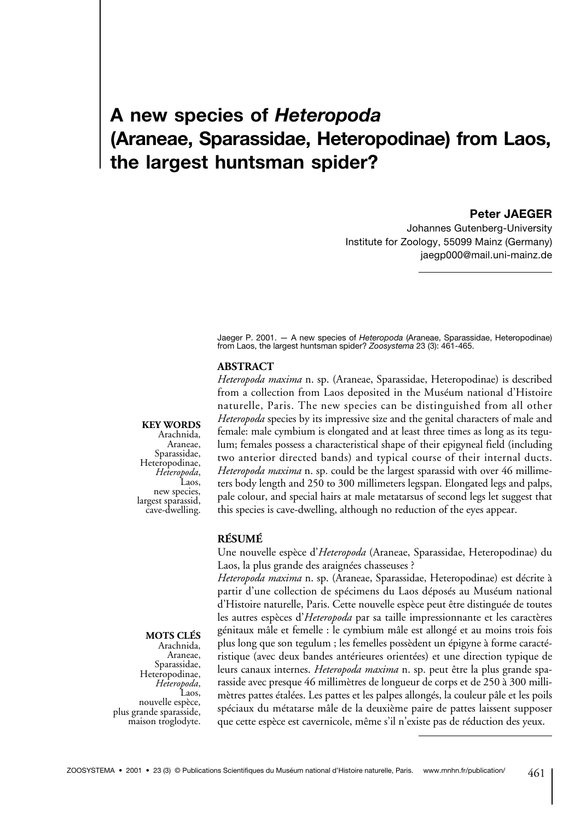# **A new species of** *Heteropoda*  **(Araneae, Sparassidae, Heteropodinae) from Laos, the largest huntsman spider?**

#### **Peter JAEGER**

Johannes Gutenberg-University Institute for Zoology, 55099 Mainz (Germany) jaegp000@mail.uni-mainz.de

Jaeger P. 2001. — A new species of *Heteropoda* (Araneae, Sparassidae, Heteropodinae) from Laos, the largest huntsman spider? *Zoosystema* 23 (3): 461-465.

#### **ABSTRACT**

**KEY WORDS**

Arachnida, Araneae,<br>Sparassidae, Heteropodinae,<br>*Heteropoda*,<br>Laos,<br>new species, largest sparassid, cave-dwelling. *Heteropoda maxima* n. sp. (Araneae, Sparassidae, Heteropodinae) is described from a collection from Laos deposited in the Muséum national d'Histoire naturelle, Paris. The new species can be distinguished from all other *Heteropoda* species by its impressive size and the genital characters of male and female: male cymbium is elongated and at least three times as long as its tegulum; females possess a characteristical shape of their epigyneal field (including two anterior directed bands) and typical course of their internal ducts. *Heteropoda maxima* n. sp. could be the largest sparassid with over 46 millimeters body length and 250 to 300 millimeters legspan. Elongated legs and palps, pale colour, and special hairs at male metatarsus of second legs let suggest that this species is cave-dwelling, although no reduction of the eyes appear.

#### **RÉSUMÉ**

Une nouvelle espèce d'*Heteropoda* (Araneae, Sparassidae, Heteropodinae) du Laos, la plus grande des araignées chasseuses ?

*Heteropoda maxima* n. sp. (Araneae, Sparassidae, Heteropodinae) est décrite à partir d'une collection de spécimens du Laos déposés au Muséum national d'Histoire naturelle, Paris. Cette nouvelle espèce peut être distinguée de toutes les autres espèces d'*Heteropoda* par sa taille impressionnante et les caractères génitaux mâle et femelle : le cymbium mâle est allongé et au moins trois fois plus long que son tegulum ; les femelles possèdent un épigyne à forme caractéristique (avec deux bandes antérieures orientées) et une direction typique de leurs canaux internes. *Heteropoda maxima* n. sp. peut être la plus grande sparasside avec presque 46 millimètres de longueur de corps et de 250 à 300 millimètres pattes étalées. Les pattes et les palpes allongés, la couleur pâle et les poils spéciaux du métatarse mâle de la deuxième paire de pattes laissent supposer que cette espèce est cavernicole, même s'il n'existe pas de réduction des yeux.

## **MOTS CLÉS**

Arachnida, Araneae,<br>Sparassidae, Sparassidae, Heteropodinae, *Heteropoda*, Laos, plus grande sparasside, maison troglodyte.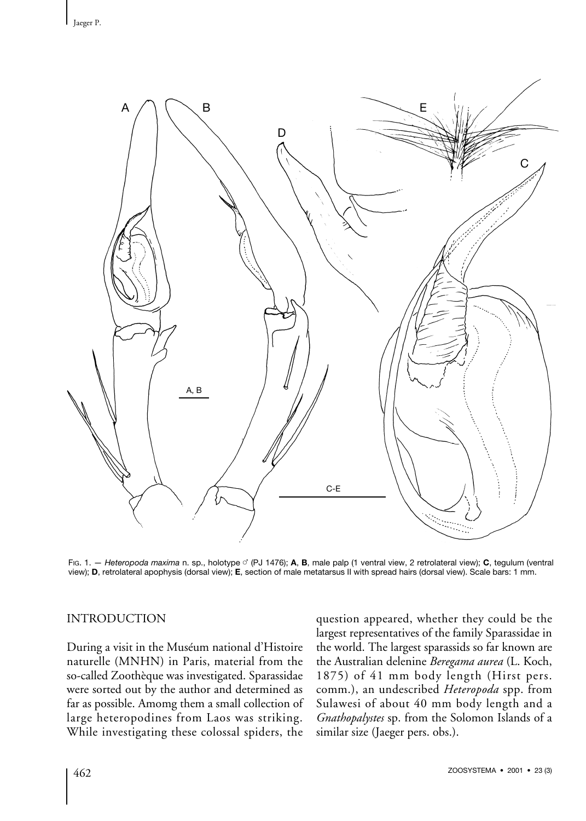

FIG. 1. — *Heteropoda maxima* n. sp., holotype (PJ 1476); **A**, **B**, male palp (1 ventral view, 2 retrolateral view); **C**, tegulum (ventral view); **D**, retrolateral apophysis (dorsal view); **E**, section of male metatarsus II with spread hairs (dorsal view). Scale bars: 1 mm.

## INTRODUCTION

During a visit in the Muséum national d'Histoire naturelle (MNHN) in Paris, material from the so-called Zoothèque was investigated. Sparassidae were sorted out by the author and determined as far as possible. Amomg them a small collection of large heteropodines from Laos was striking. While investigating these colossal spiders, the question appeared, whether they could be the largest representatives of the family Sparassidae in the world. The largest sparassids so far known are the Australian delenine *Beregama aurea* (L. Koch, 1875) of 41 mm body length (Hirst pers. comm.), an undescribed *Heteropoda* spp. from Sulawesi of about 40 mm body length and a *Gnathopalystes* sp. from the Solomon Islands of a similar size (Jaeger pers. obs.).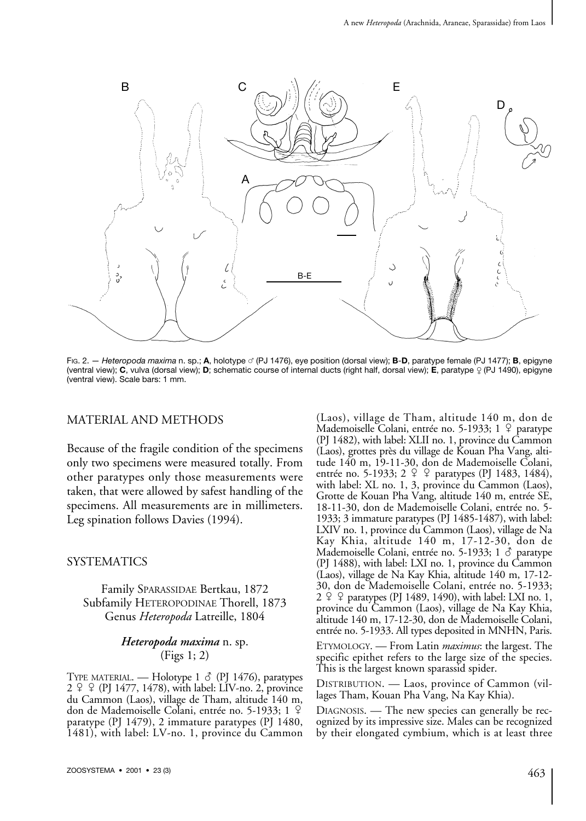

FIG. 2. — *Heteropoda maxima* n. sp.; **A**, holotype (PJ 1476), eye position (dorsal view); **B**-**D**, paratype female (PJ 1477); **B**, epigyne (ventral view); **C**, vulva (dorsal view); **D**; schematic course of internal ducts (right half, dorsal view); **E**, paratype (PJ 1490), epigyne (ventral view). Scale bars: 1 mm.

## MATERIAL AND METHODS

Because of the fragile condition of the specimens only two specimens were measured totally. From other paratypes only those measurements were taken, that were allowed by safest handling of the specimens. All measurements are in millimeters. Leg spination follows Davies (1994).

## **SYSTEMATICS**

Family SPARASSIDAE Bertkau, 1872 Subfamily HETEROPODINAE Thorell, 1873 Genus *Heteropoda* Latreille, 1804

#### *Heteropoda maxima* n. sp. (Figs 1; 2)

TYPE MATERIAL. — Holotype 1 & (PJ 1476), paratypes  $2 \varphi \varphi$  (PJ 1477, 1478), with label: LIV-no. 2, province du Cammon (Laos), village de Tham, altitude 140 m, don de Mademoiselle Colani, entrée no. 5-1933; 1 paratype (PJ 1479), 2 immature paratypes (PJ 1480, 1481), with label: LV-no. 1, province du Cammon

(Laos), village de Tham, altitude 140 m, don de Mademoiselle Colani, entrée no. 5-1933;  $1 \nvert 9$  paratype (PJ 1482), with label: XLII no. 1, province du Cammon (Laos), grottes près du village de Kouan Pha Vang, altitude 140 m, 19-11-30, don de Mademoiselle Colani, entrée no. 5-1933; 2 º º paratypes (PJ 1483, 1484), with label: XL no. 1, 3, province du Cammon (Laos), Grotte de Kouan Pha Vang, altitude 140 m, entrée SE, 18-11-30, don de Mademoiselle Colani, entrée no. 5- 1933; 3 immature paratypes (PJ 1485-1487), with label: LXIV no. 1, province du Cammon (Laos), village de Na Kay Khia, altitude 140 m, 17-12-30, don de Mademoiselle Colani, entrée no. 5-1933; 1 & paratype (PJ 1488), with label: LXI no. 1, province du Cammon (Laos), village de Na Kay Khia, altitude 140 m, 17-12- 30, don de Mademoiselle Colani, entrée no. 5-1933;  $2 \nsubseteq \nsubseteq$  paratypes (PJ 1489, 1490), with label: LXI no. 1, province du Cammon (Laos), village de Na Kay Khia, altitude 140 m, 17-12-30, don de Mademoiselle Colani, entrée no. 5-1933. All types deposited in MNHN, Paris.

ETYMOLOGY. — From Latin *maximus*: the largest. The specific epithet refers to the large size of the species. This is the largest known sparassid spider.

DISTRIBUTION. — Laos, province of Cammon (villages Tham, Kouan Pha Vang, Na Kay Khia).

DIAGNOSIS. — The new species can generally be recognized by its impressive size. Males can be recognized by their elongated cymbium, which is at least three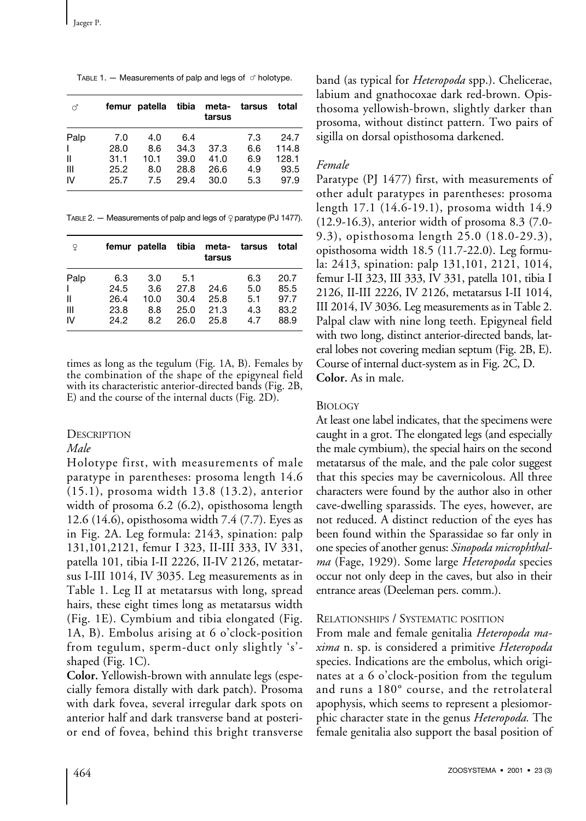TABLE 1.  $-$  Measurements of palp and legs of  $\circ$  holotype.

| ď              |      | femur patella | tibia | meta-<br>tarsus | tarsus | total |
|----------------|------|---------------|-------|-----------------|--------|-------|
| Palp           | 7.0  | 4.0           | 6.4   |                 | 7.3    | 24.7  |
| $\mathbf{I}$   | 28.0 | 8.6           | 34.3  | 37.3            | 6.6    | 114.8 |
| Ш              | 31.1 | 10.1          | 39.0  | 41.0            | 6.9    | 128.1 |
| $\mathbf{III}$ | 25.2 | 8.0           | 28.8  | 26.6            | 4.9    | 93.5  |
| IV             | 25.7 | 7.5           | 29.4  | 30.0            | 5.3    | 97.9  |

TABLE 2.  $-$  Measurements of palp and legs of  $\Omega$  paratype (PJ 1477).

| ¥    |      | femur patella | tibia | meta-<br>tarsus | tarsus | total |
|------|------|---------------|-------|-----------------|--------|-------|
| Palp | 6.3  | 3.0           | 5.1   |                 | 6.3    | 20.7  |
| L    | 24.5 | 3.6           | 27.8  | 24.6            | 5.0    | 85.5  |
| Ш    | 26.4 | 10.0          | 30.4  | 25.8            | 5.1    | 97.7  |
| Ш    | 23.8 | 8.8           | 25.0  | 21.3            | 4.3    | 83.2  |
| IV   | 24.2 | 8.2           | 26.0  | 25.8            | 4.7    | 88.9  |

times as long as the tegulum (Fig. 1A, B). Females by the combination of the shape of the epigyneal field with its characteristic anterior-directed bands (Fig. 2B, E) and the course of the internal ducts (Fig. 2D).

### **DESCRIPTION**

## *Male*

Holotype first, with measurements of male paratype in parentheses: prosoma length 14.6 (15.1), prosoma width 13.8 (13.2), anterior width of prosoma 6.2 (6.2), opisthosoma length 12.6 (14.6), opisthosoma width 7.4 (7.7). Eyes as in Fig. 2A. Leg formula: 2143, spination: palp 131,101,2121, femur I 323, II-III 333, IV 331, patella 101, tibia I-II 2226, II-IV 2126, metatarsus I-III 1014, IV 3035. Leg measurements as in Table 1. Leg II at metatarsus with long, spread hairs, these eight times long as metatarsus width (Fig. 1E). Cymbium and tibia elongated (Fig. 1A, B). Embolus arising at 6 o'clock-position from tegulum, sperm-duct only slightly 's' shaped (Fig. 1C).

**Color.** Yellowish-brown with annulate legs (especially femora distally with dark patch). Prosoma with dark fovea, several irregular dark spots on anterior half and dark transverse band at posterior end of fovea, behind this bright transverse band (as typical for *Heteropoda* spp.). Chelicerae, labium and gnathocoxae dark red-brown. Opisthosoma yellowish-brown, slightly darker than prosoma, without distinct pattern. Two pairs of sigilla on dorsal opisthosoma darkened.

#### *Female*

Paratype (PJ 1477) first, with measurements of other adult paratypes in parentheses: prosoma length 17.1 (14.6-19.1), prosoma width 14.9 (12.9-16.3), anterior width of prosoma 8.3 (7.0- 9.3), opisthosoma length 25.0 (18.0-29.3), opisthosoma width 18.5 (11.7-22.0). Leg formula: 2413, spination: palp 131,101, 2121, 1014, femur I-II 323, III 333, IV 331, patella 101, tibia I 2126, II-III 2226, IV 2126, metatarsus I-II 1014, III 2014, IV 3036. Leg measurements as in Table 2. Palpal claw with nine long teeth. Epigyneal field with two long, distinct anterior-directed bands, lateral lobes not covering median septum (Fig. 2B, E). Course of internal duct-system as in Fig. 2C, D. **Color.** As in male.

#### **BIOLOGY**

At least one label indicates, that the specimens were caught in a grot. The elongated legs (and especially the male cymbium), the special hairs on the second metatarsus of the male, and the pale color suggest that this species may be cavernicolous. All three characters were found by the author also in other cave-dwelling sparassids. The eyes, however, are not reduced. A distinct reduction of the eyes has been found within the Sparassidae so far only in one species of another genus: *Sinopoda microphthalma* (Fage, 1929). Some large *Heteropoda* species occur not only deep in the caves, but also in their entrance areas (Deeleman pers. comm.).

#### RELATIONSHIPS / SYSTEMATIC POSITION

From male and female genitalia *Heteropoda maxima* n. sp. is considered a primitive *Heteropoda* species. Indications are the embolus, which originates at a 6 o'clock-position from the tegulum and runs a 180° course, and the retrolateral apophysis, which seems to represent a plesiomorphic character state in the genus *Heteropoda.* The female genitalia also support the basal position of